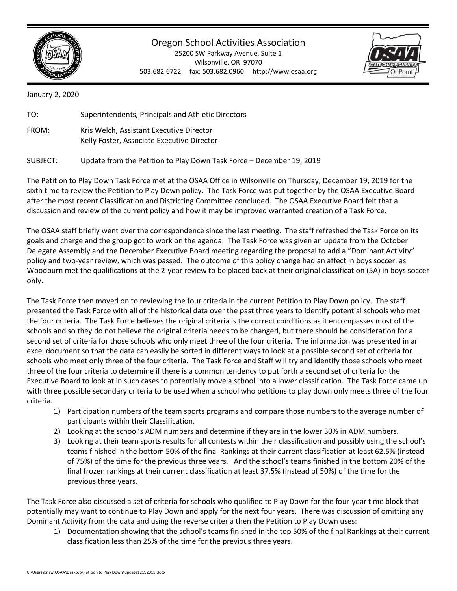

## Oregon School Activities Association

25200 SW Parkway Avenue, Suite 1 Wilsonville, OR 97070 503.682.6722 fax: 503.682.0960 http://www.osaa.org



January 2, 2020

| TO:   | Superintendents, Principals and Athletic Directors                                     |
|-------|----------------------------------------------------------------------------------------|
| FROM: | Kris Welch, Assistant Executive Director<br>Kelly Foster, Associate Executive Director |

SUBJECT: Update from the Petition to Play Down Task Force – December 19, 2019

The Petition to Play Down Task Force met at the OSAA Office in Wilsonville on Thursday, December 19, 2019 for the sixth time to review the Petition to Play Down policy. The Task Force was put together by the OSAA Executive Board after the most recent Classification and Districting Committee concluded. The OSAA Executive Board felt that a discussion and review of the current policy and how it may be improved warranted creation of a Task Force.

The OSAA staff briefly went over the correspondence since the last meeting. The staff refreshed the Task Force on its goals and charge and the group got to work on the agenda. The Task Force was given an update from the October Delegate Assembly and the December Executive Board meeting regarding the proposal to add a "Dominant Activity" policy and two-year review, which was passed. The outcome of this policy change had an affect in boys soccer, as Woodburn met the qualifications at the 2-year review to be placed back at their original classification (5A) in boys soccer only.

The Task Force then moved on to reviewing the four criteria in the current Petition to Play Down policy. The staff presented the Task Force with all of the historical data over the past three years to identify potential schools who met the four criteria. The Task Force believes the original criteria is the correct conditions as it encompasses most of the schools and so they do not believe the original criteria needs to be changed, but there should be consideration for a second set of criteria for those schools who only meet three of the four criteria. The information was presented in an excel document so that the data can easily be sorted in different ways to look at a possible second set of criteria for schools who meet only three of the four criteria. The Task Force and Staff will try and identify those schools who meet three of the four criteria to determine if there is a common tendency to put forth a second set of criteria for the Executive Board to look at in such cases to potentially move a school into a lower classification. The Task Force came up with three possible secondary criteria to be used when a school who petitions to play down only meets three of the four criteria.

- 1) Participation numbers of the team sports programs and compare those numbers to the average number of participants within their Classification.
- 2) Looking at the school's ADM numbers and determine if they are in the lower 30% in ADM numbers.
- 3) Looking at their team sports results for all contests within their classification and possibly using the school's teams finished in the bottom 50% of the final Rankings at their current classification at least 62.5% (instead of 75%) of the time for the previous three years. And the school's teams finished in the bottom 20% of the final frozen rankings at their current classification at least 37.5% (instead of 50%) of the time for the previous three years.

The Task Force also discussed a set of criteria for schools who qualified to Play Down for the four-year time block that potentially may want to continue to Play Down and apply for the next four years. There was discussion of omitting any Dominant Activity from the data and using the reverse criteria then the Petition to Play Down uses:

1) Documentation showing that the school's teams finished in the top 50% of the final Rankings at their current classification less than 25% of the time for the previous three years.